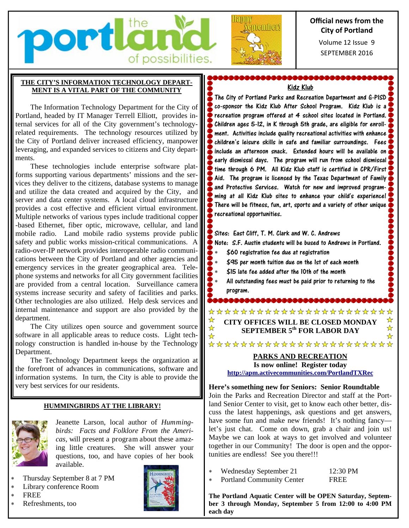



## **Official news from the City of Portland**

SEPTEMBER 2016 Volume 12 Issue 9

### **THE CITY'S INFORMATION TECHNOLOGY DEPART-MENT IS A VITAL PART OF THE COMMUNITY**

The Information Technology Department for the City of Portland, headed by IT Manager Terrell Elliott, provides internal services for all of the City government's technologyrelated requirements. The technology resources utilized by the City of Portland deliver increased efficiency, manpower leveraging, and expanded services to citizens and City departments.

These technologies include enterprise software platforms supporting various departments' missions and the services they deliver to the citizens, database systems to manage and utilize the data created and acquired by the City, and server and data center systems. A local cloud infrastructure provides a cost effective and efficient virtual environment. Multiple networks of various types include traditional copper -based Ethernet, fiber optic, microwave, cellular, and land mobile radio. Land mobile radio systems provide public safety and public works mission-critical communications. A radio-over-IP network provides interoperable radio communications between the City of Portland and other agencies and emergency services in the greater geographical area. Telephone systems and networks for all City government facilities are provided from a central location. Surveillance camera systems increase security and safety of facilities and parks. Other technologies are also utilized. Help desk services and internal maintenance and support are also provided by the department.

The City utilizes open source and government source software in all applicable areas to reduce costs. Light technology construction is handled in-house by the Technology Department.

The Technology Department keeps the organization at the forefront of advances in communications, software and information systems. In turn, the City is able to provide the very best services for our residents.

### **HUMMINGBIRDS AT THE LIBRARY!**



Jeanette Larson, local author of *Hummingbirds: Facts and Folklore From the Americas,* will present a program about these amazing little creatures. She will answer your questions, too, and have copies of her book available.

- Thursday September 8 at 7 PM
- Library conference Room
- **FREE**
- Refreshments, too



\$&&&&&&&&&&&&&&&&&&&&&&&& Kidz Klub

The City of Portland Parks and Recreation Department and G-PISD co-sponsor the Kidz Klub After School Program. Kidz Klub is a recreation program offered at 4 school sites located in Portland. **Children ages 5-12, in K through 5th grade, are eligible for enroll-** $\cdot$  ment. Activities include quality recreational activities with enhance  $\cdot$ children's leisure skills in safe and familiar surroundings. Fees include an afternoon snack. Extended hours will be available on early dismissal days. The program will run from school dismissal time through 6 PM. All Kidz Klub staff is certified in CPR/First  $\blacktriangleright$  Aid. The program is licensed by the Texas Department of Family  $\epsilon$ and Protective Services. Watch for new and improved programming at all Kidz Klub sites to enhance your child's experience! There will be fitness, fun, art, sports and a variety of other unique **F** recreational opportunities.

Sites: East Cliff, T. M. Clark and W. C. Andrews Note: S.F. Austin students will be bused to Andrews in Portland.

- \$60 registration fee due at registration
- $\frac{1}{2}$   $\ast$   $\frac{1}{2}$  S95 per month tuition due on the 1st of each month
- \$15 late fee added after the 10th of the month
- All outstanding fees must be paid prior to returning to the program.

\$&&&&&&&&&<u>&&&&&&&&</u>

\*\*\*\*\*\*\*\*\*\*\*\*\*\*\*\*\*\*\*\*\*\* ☆ ☆ **CITY OFFICES WILL BE CLOSED MONDAY**   $\frac{1}{\sqrt{2}}$ ☆ **SEPTEMBER 5th FOR LABOR DAY**   $\frac{1}{2}$ 

### \*\*\*\*\*\*\*\*\*\*\*\*\*\*\*\*\*\*\*\*\*\*\* **PARKS AND RECREATION Is now online! Register today**

**http://apm.activecommunities.com/PortlandTXRec**

**Here's something new for Seniors: Senior Roundtable** 

Join the Parks and Recreation Director and staff at the Portland Senior Center to visit, get to know each other better, discuss the latest happenings, ask questions and get answers, have some fun and make new friends! It's nothing fancy let's just chat. Come on down, grab a chair and join us! Maybe we can look at ways to get involved and volunteer together in our Community! The door is open and the opportunities are endless! See you there!!!

- Wednesday September 21 12:30 PM
- Portland Community Center FREE
- 

**The Portland Aquatic Center will be OPEN Saturday, September 3 through Monday, September 5 from 12:00 to 4:00 PM each day**